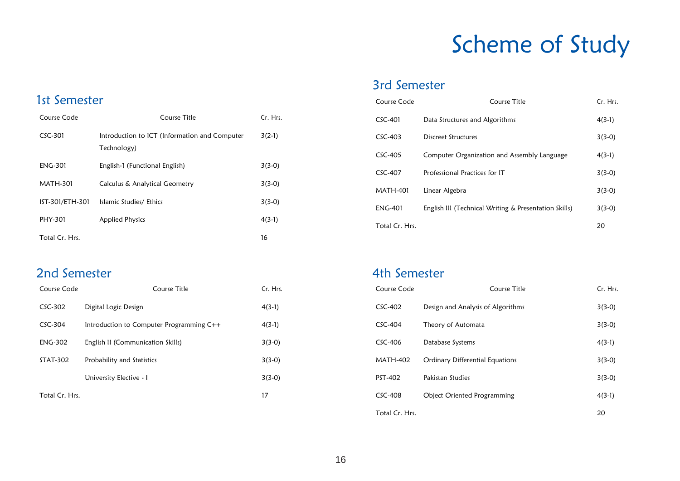# Scheme of Study

### 3rd Semester

| Course Code     | Course Title                                          | Cr. Hrs. |
|-----------------|-------------------------------------------------------|----------|
| $CSC-401$       | Data Structures and Algorithms                        | $4(3-1)$ |
| $CSC-403$       | Discreet Structures                                   | $3(3-0)$ |
| $CSC-405$       | Computer Organization and Assembly Language           | $4(3-1)$ |
| CSC-407         | Professional Practices for IT                         | $3(3-0)$ |
| <b>MATH-401</b> | Linear Algebra                                        | $3(3-0)$ |
| <b>ENG-401</b>  | English III (Technical Writing & Presentation Skills) | $3(3-0)$ |
| Total Cr. Hrs.  |                                                       | 20       |

### 1st Semester

| Course Code     | Course Title                                                 | Cr. Hrs. |
|-----------------|--------------------------------------------------------------|----------|
| $CSC-301$       | Introduction to ICT (Information and Computer<br>Technology) | $3(2-1)$ |
| <b>ENG-301</b>  | English-1 (Functional English)                               | $3(3-0)$ |
| MATH-301        | Calculus & Analytical Geometry                               | $3(3-0)$ |
| IST-301/ETH-301 | Islamic Studies/ Ethics                                      | $3(3-0)$ |
| PHY-301         | <b>Applied Physics</b>                                       | $4(3-1)$ |
| Total Cr. Hrs.  |                                                              | 16       |

#### 2nd Semester

| Course Code    | Course Title                             | Cr. Hrs. |
|----------------|------------------------------------------|----------|
| $CSC-302$      | Digital Logic Design                     | $4(3-1)$ |
| $CSC-304$      | Introduction to Computer Programming C++ | $4(3-1)$ |
| <b>ENG-302</b> | English II (Communication Skills)        | $3(3-0)$ |
| STAT-302       | Probability and Statistics               | $3(3-0)$ |
|                | University Elective - I                  | $3(3-0)$ |
| Total Cr. Hrs. |                                          | 17       |

#### 4th Semester

| Course Code     | Course Title                       | Cr. Hrs. |
|-----------------|------------------------------------|----------|
| $CSC-402$       | Design and Analysis of Algorithms  | $3(3-0)$ |
| $CSC-404$       | Theory of Automata                 | $3(3-0)$ |
| $CSC-406$       | Database Systems                   | $4(3-1)$ |
| <b>MATH-402</b> | Ordinary Differential Equations    | $3(3-0)$ |
| PST-402         | Pakistan Studies                   | $3(3-0)$ |
| $CSC-408$       | <b>Object Oriented Programming</b> | $4(3-1)$ |
| Total Cr. Hrs.  |                                    | 20       |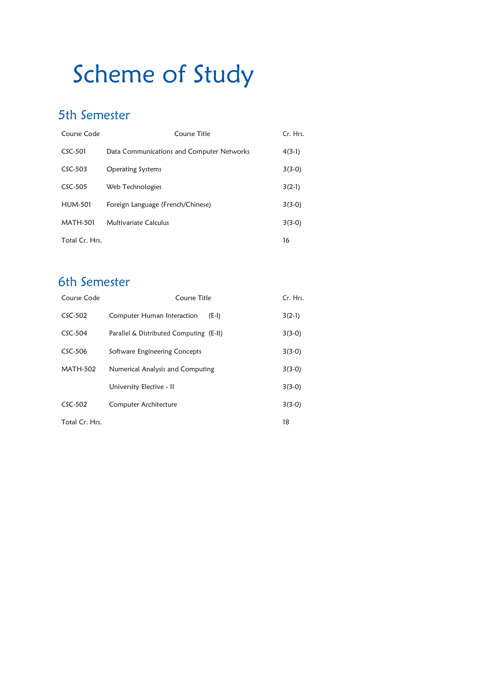# Scheme of Study

### 5th Semester

| Course Code     | Course Title                              | Cr. Hrs. |
|-----------------|-------------------------------------------|----------|
| $CSC-501$       | Data Communications and Computer Networks | $4(3-1)$ |
| $CSC-503$       | <b>Operating Systems</b>                  | $3(3-0)$ |
| $CSC-505$       | Web Technologies                          | $3(2-1)$ |
| <b>HUM-501</b>  | Foreign Language (French/Chinese)         | $3(3-0)$ |
| <b>MATH-501</b> | Multivariate Calculus                     | $3(3-0)$ |
| Total Cr. Hrs.  |                                           | 16       |

## 6th Semester

| Course Code     | Course Title                            |          |
|-----------------|-----------------------------------------|----------|
| $CSC-502$       | Computer Human Interaction<br>$(E-I)$   | $3(2-1)$ |
| $CSC-504$       | Parallel & Distributed Computing (E-II) |          |
| $CSC-506$       | Software Engineering Concepts           |          |
| <b>MATH-502</b> | Numerical Analysis and Computing        |          |
|                 | University Elective - II                | $3(3-0)$ |
| $CSC-502$       | Computer Architecture                   | $3(3-0)$ |
| Total Cr. Hrs.  |                                         | 18       |